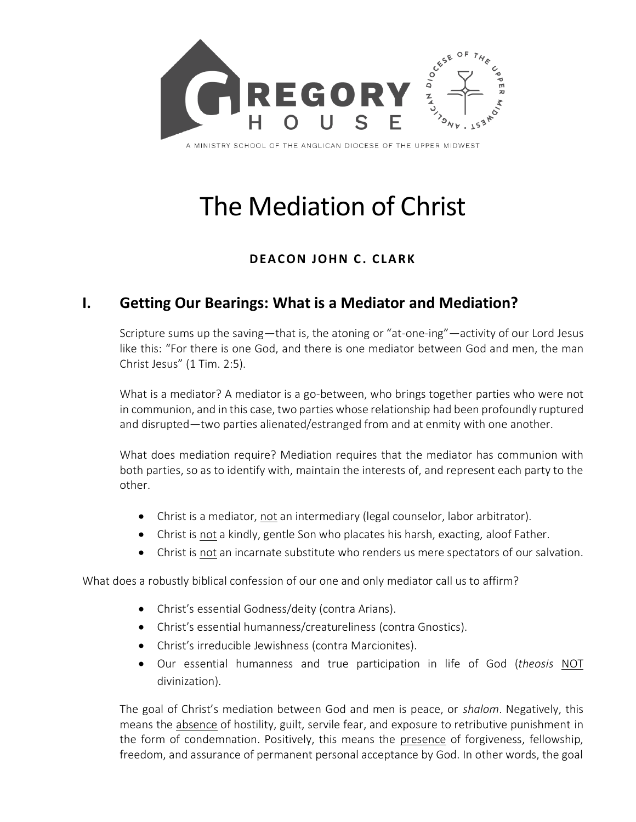

# The Mediation of Christ

#### **DEACON JOHN C. CLARK**

### **I. Getting Our Bearings: What is a Mediator and Mediation?**

Scripture sums up the saving—that is, the atoning or "at-one-ing"—activity of our Lord Jesus like this: "For there is one God, and there is one mediator between God and men, the man Christ Jesus" (1 Tim. 2:5).

What is a mediator? A mediator is a go-between, who brings together parties who were not in communion, and in this case, two parties whose relationship had been profoundly ruptured and disrupted—two parties alienated/estranged from and at enmity with one another.

What does mediation require? Mediation requires that the mediator has communion with both parties, so as to identify with, maintain the interests of, and represent each party to the other.

- Christ is a mediator, not an intermediary (legal counselor, labor arbitrator).
- Christ is not a kindly, gentle Son who placates his harsh, exacting, aloof Father.
- Christ is not an incarnate substitute who renders us mere spectators of our salvation.

What does a robustly biblical confession of our one and only mediator call us to affirm?

- Christ's essential Godness/deity (contra Arians).
- Christ's essential humanness/creatureliness (contra Gnostics).
- Christ's irreducible Jewishness (contra Marcionites).
- Our essential humanness and true participation in life of God (*theosis* NOT divinization).

The goal of Christ's mediation between God and men is peace, or *shalom*. Negatively, this means the absence of hostility, guilt, servile fear, and exposure to retributive punishment in the form of condemnation. Positively, this means the presence of forgiveness, fellowship, freedom, and assurance of permanent personal acceptance by God. In other words, the goal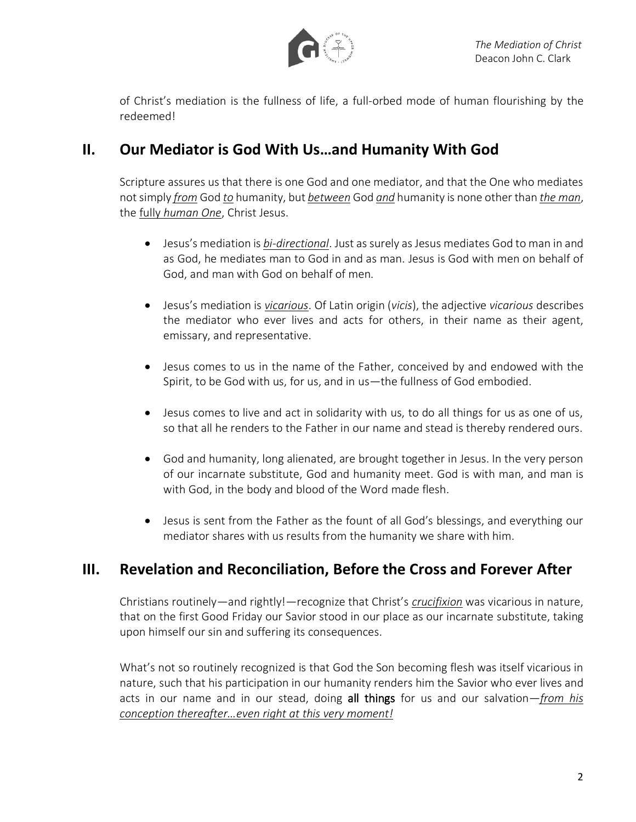

of Christ's mediation is the fullness of life, a full-orbed mode of human flourishing by the redeemed!

### **II. Our Mediator is God With Us…and Humanity With God**

Scripture assures us that there is one God and one mediator, and that the One who mediates not simply *from* God *to* humanity, but *between* God *and* humanity is none other than *the man*, the fully *human One*, Christ Jesus.

- Jesus's mediation is *bi-directional*. Just as surely as Jesus mediates God to man in and as God, he mediates man to God in and as man. Jesus is God with men on behalf of God, and man with God on behalf of men.
- Jesus's mediation is *vicarious*. Of Latin origin (*vicis*), the adjective *vicarious* describes the mediator who ever lives and acts for others, in their name as their agent, emissary, and representative.
- Jesus comes to us in the name of the Father, conceived by and endowed with the Spirit, to be God with us, for us, and in us—the fullness of God embodied.
- Jesus comes to live and act in solidarity with us, to do all things for us as one of us, so that all he renders to the Father in our name and stead is thereby rendered ours.
- God and humanity, long alienated, are brought together in Jesus. In the very person of our incarnate substitute, God and humanity meet. God is with man, and man is with God, in the body and blood of the Word made flesh.
- Jesus is sent from the Father as the fount of all God's blessings, and everything our mediator shares with us results from the humanity we share with him.

## **III. Revelation and Reconciliation, Before the Cross and Forever After**

Christians routinely—and rightly!—recognize that Christ's *crucifixion* was vicarious in nature, that on the first Good Friday our Savior stood in our place as our incarnate substitute, taking upon himself our sin and suffering its consequences.

What's not so routinely recognized is that God the Son becoming flesh was itself vicarious in nature, such that his participation in our humanity renders him the Savior who ever lives and acts in our name and in our stead, doing all things for us and our salvation—*from his conception thereafter…even right at this very moment!*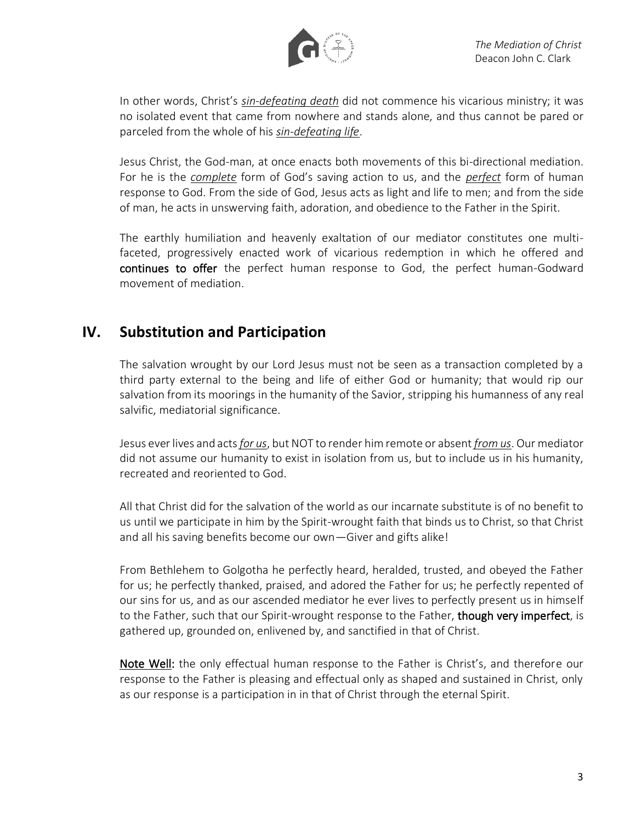

In other words, Christ's *sin-defeating death* did not commence his vicarious ministry; it was no isolated event that came from nowhere and stands alone, and thus cannot be pared or parceled from the whole of his *sin-defeating life*.

Jesus Christ, the God-man, at once enacts both movements of this bi-directional mediation. For he is the *complete* form of God's saving action to us, and the *perfect* form of human response to God. From the side of God, Jesus acts as light and life to men; and from the side of man, he acts in unswerving faith, adoration, and obedience to the Father in the Spirit.

The earthly humiliation and heavenly exaltation of our mediator constitutes one multifaceted, progressively enacted work of vicarious redemption in which he offered and continues to offer the perfect human response to God, the perfect human-Godward movement of mediation.

#### **IV. Substitution and Participation**

The salvation wrought by our Lord Jesus must not be seen as a transaction completed by a third party external to the being and life of either God or humanity; that would rip our salvation from its moorings in the humanity of the Savior, stripping his humanness of any real salvific, mediatorial significance.

Jesus ever lives and acts *for us*, but NOT to render him remote or absent *from us*. Our mediator did not assume our humanity to exist in isolation from us, but to include us in his humanity, recreated and reoriented to God.

All that Christ did for the salvation of the world as our incarnate substitute is of no benefit to us until we participate in him by the Spirit-wrought faith that binds us to Christ, so that Christ and all his saving benefits become our own—Giver and gifts alike!

From Bethlehem to Golgotha he perfectly heard, heralded, trusted, and obeyed the Father for us; he perfectly thanked, praised, and adored the Father for us; he perfectly repented of our sins for us, and as our ascended mediator he ever lives to perfectly present us in himself to the Father, such that our Spirit-wrought response to the Father, though very imperfect, is gathered up, grounded on, enlivened by, and sanctified in that of Christ.

Note Well: the only effectual human response to the Father is Christ's, and therefore our response to the Father is pleasing and effectual only as shaped and sustained in Christ, only as our response is a participation in in that of Christ through the eternal Spirit.